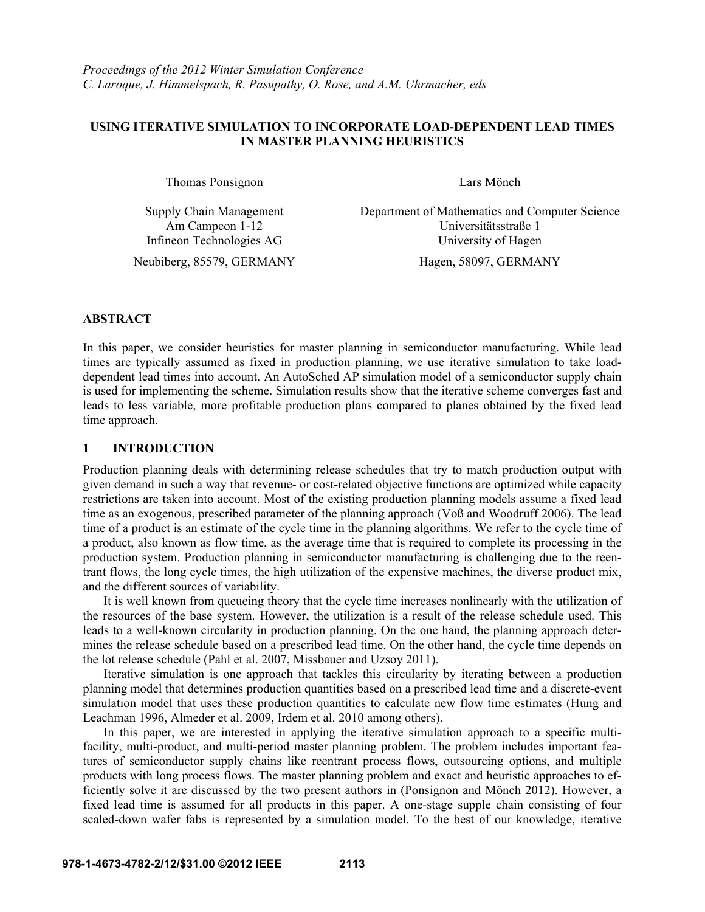# **USING ITERATIVE SIMULATION TO INCORPORATE LOAD-DEPENDENT LEAD TIMES IN MASTER PLANNING HEURISTICS**

Thomas Ponsignon Lars Mönch

Supply Chain Management Department of Mathematics and Computer Science Am Campeon 1-12 Universitätsstraße 1 Infineon Technologies AG University of Hagen

Neubiberg, 85579, GERMANY Hagen, 58097, GERMANY

### **ABSTRACT**

In this paper, we consider heuristics for master planning in semiconductor manufacturing. While lead times are typically assumed as fixed in production planning, we use iterative simulation to take loaddependent lead times into account. An AutoSched AP simulation model of a semiconductor supply chain is used for implementing the scheme. Simulation results show that the iterative scheme converges fast and leads to less variable, more profitable production plans compared to planes obtained by the fixed lead time approach.

## **1 INTRODUCTION**

Production planning deals with determining release schedules that try to match production output with given demand in such a way that revenue- or cost-related objective functions are optimized while capacity restrictions are taken into account. Most of the existing production planning models assume a fixed lead time as an exogenous, prescribed parameter of the planning approach (Voß and Woodruff 2006). The lead time of a product is an estimate of the cycle time in the planning algorithms. We refer to the cycle time of a product, also known as flow time, as the average time that is required to complete its processing in the production system. Production planning in semiconductor manufacturing is challenging due to the reentrant flows, the long cycle times, the high utilization of the expensive machines, the diverse product mix, and the different sources of variability.

It is well known from queueing theory that the cycle time increases nonlinearly with the utilization of the resources of the base system. However, the utilization is a result of the release schedule used. This leads to a well-known circularity in production planning. On the one hand, the planning approach determines the release schedule based on a prescribed lead time. On the other hand, the cycle time depends on the lot release schedule (Pahl et al. 2007, Missbauer and Uzsoy 2011).

Iterative simulation is one approach that tackles this circularity by iterating between a production planning model that determines production quantities based on a prescribed lead time and a discrete-event simulation model that uses these production quantities to calculate new flow time estimates (Hung and Leachman 1996, Almeder et al. 2009, Irdem et al. 2010 among others).

In this paper, we are interested in applying the iterative simulation approach to a specific multifacility, multi-product, and multi-period master planning problem. The problem includes important features of semiconductor supply chains like reentrant process flows, outsourcing options, and multiple products with long process flows. The master planning problem and exact and heuristic approaches to efficiently solve it are discussed by the two present authors in (Ponsignon and Mönch 2012). However, a fixed lead time is assumed for all products in this paper. A one-stage supple chain consisting of four scaled-down wafer fabs is represented by a simulation model. To the best of our knowledge, iterative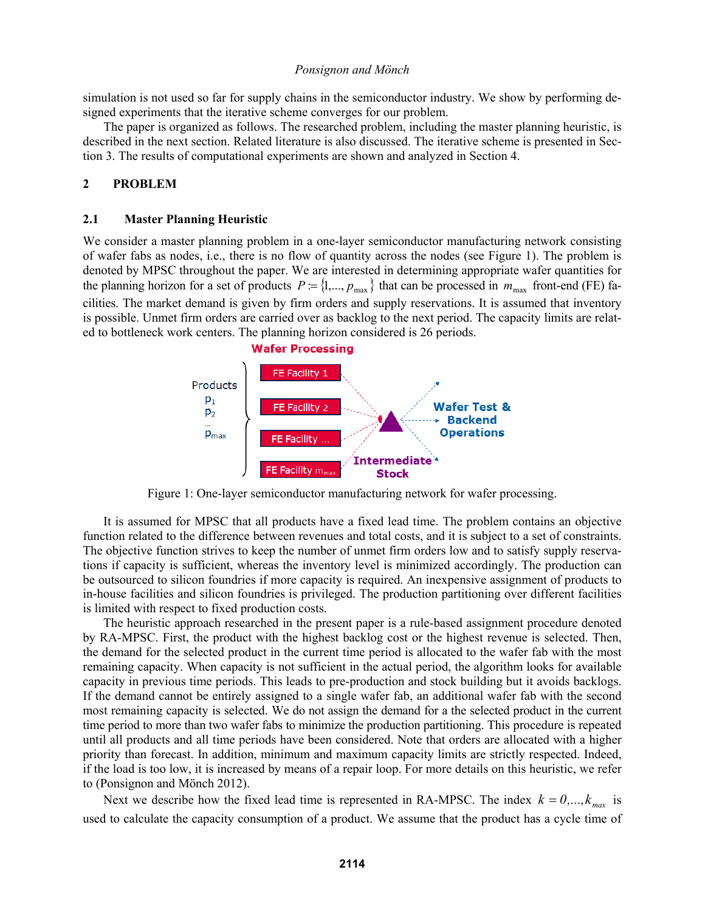simulation is not used so far for supply chains in the semiconductor industry. We show by performing designed experiments that the iterative scheme converges for our problem.

The paper is organized as follows. The researched problem, including the master planning heuristic, is described in the next section. Related literature is also discussed. The iterative scheme is presented in Section 3. The results of computational experiments are shown and analyzed in Section 4.

# **2 PROBLEM**

#### **2.1 Master Planning Heuristic**

We consider a master planning problem in a one-layer semiconductor manufacturing network consisting of wafer fabs as nodes, i.e., there is no flow of quantity across the nodes (see Figure 1). The problem is denoted by MPSC throughout the paper. We are interested in determining appropriate wafer quantities for the planning horizon for a set of products  $P = \{1, ..., p_{max}\}\$  that can be processed in  $m_{max}$  front-end (FE) facilities. The market demand is given by firm orders and supply reservations. It is assumed that inventory is possible. Unmet firm orders are carried over as backlog to the next period. The capacity limits are related to bottleneck work centers. The planning horizon considered is 26 periods.



Figure 1: One-layer semiconductor manufacturing network for wafer processing.

It is assumed for MPSC that all products have a fixed lead time. The problem contains an objective function related to the difference between revenues and total costs, and it is subject to a set of constraints. The objective function strives to keep the number of unmet firm orders low and to satisfy supply reservations if capacity is sufficient, whereas the inventory level is minimized accordingly. The production can be outsourced to silicon foundries if more capacity is required. An inexpensive assignment of products to in-house facilities and silicon foundries is privileged. The production partitioning over different facilities is limited with respect to fixed production costs.

The heuristic approach researched in the present paper is a rule-based assignment procedure denoted by RA-MPSC. First, the product with the highest backlog cost or the highest revenue is selected. Then, the demand for the selected product in the current time period is allocated to the wafer fab with the most remaining capacity. When capacity is not sufficient in the actual period, the algorithm looks for available capacity in previous time periods. This leads to pre-production and stock building but it avoids backlogs. If the demand cannot be entirely assigned to a single wafer fab, an additional wafer fab with the second most remaining capacity is selected. We do not assign the demand for a the selected product in the current time period to more than two wafer fabs to minimize the production partitioning. This procedure is repeated until all products and all time periods have been considered. Note that orders are allocated with a higher priority than forecast. In addition, minimum and maximum capacity limits are strictly respected. Indeed, if the load is too low, it is increased by means of a repair loop. For more details on this heuristic, we refer to (Ponsignon and Mönch 2012).

Next we describe how the fixed lead time is represented in RA-MPSC. The index  $k = 0,...,k_{max}$  is used to calculate the capacity consumption of a product. We assume that the product has a cycle time of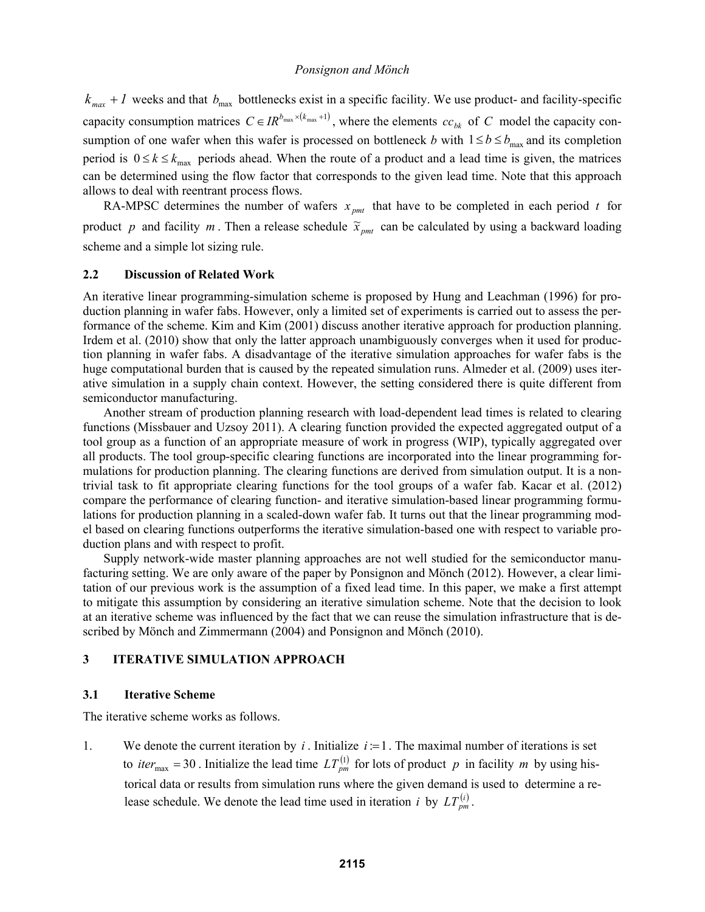$k_{max}$  + *I* weeks and that  $b_{max}$  bottlenecks exist in a specific facility. We use product- and facility-specific capacity consumption matrices  $C \in IR^{b_{\text{max}} \times (k_{\text{max}}+1)}$ , where the elements  $cc_{bk}$  of C model the capacity consumption of one wafer when this wafer is processed on bottleneck *b* with  $1 \le b \le b_{\text{max}}$  and its completion period is  $0 \le k \le k_{\text{max}}$  periods ahead. When the route of a product and a lead time is given, the matrices can be determined using the flow factor that corresponds to the given lead time. Note that this approach allows to deal with reentrant process flows.

RA-MPSC determines the number of wafers  $x_{<sub>omt</sub>}$  that have to be completed in each period t for product p and facility m. Then a release schedule  $\tilde{x}_{pm}$  can be calculated by using a backward loading scheme and a simple lot sizing rule.

### **2.2 Discussion of Related Work**

An iterative linear programming-simulation scheme is proposed by Hung and Leachman (1996) for production planning in wafer fabs. However, only a limited set of experiments is carried out to assess the performance of the scheme. Kim and Kim (2001) discuss another iterative approach for production planning. Irdem et al. (2010) show that only the latter approach unambiguously converges when it used for production planning in wafer fabs. A disadvantage of the iterative simulation approaches for wafer fabs is the huge computational burden that is caused by the repeated simulation runs. Almeder et al. (2009) uses iterative simulation in a supply chain context. However, the setting considered there is quite different from semiconductor manufacturing.

Another stream of production planning research with load-dependent lead times is related to clearing functions (Missbauer and Uzsoy 2011). A clearing function provided the expected aggregated output of a tool group as a function of an appropriate measure of work in progress (WIP), typically aggregated over all products. The tool group-specific clearing functions are incorporated into the linear programming formulations for production planning. The clearing functions are derived from simulation output. It is a nontrivial task to fit appropriate clearing functions for the tool groups of a wafer fab. Kacar et al. (2012) compare the performance of clearing function- and iterative simulation-based linear programming formulations for production planning in a scaled-down wafer fab. It turns out that the linear programming model based on clearing functions outperforms the iterative simulation-based one with respect to variable production plans and with respect to profit.

Supply network-wide master planning approaches are not well studied for the semiconductor manufacturing setting. We are only aware of the paper by Ponsignon and Mönch (2012). However, a clear limitation of our previous work is the assumption of a fixed lead time. In this paper, we make a first attempt to mitigate this assumption by considering an iterative simulation scheme. Note that the decision to look at an iterative scheme was influenced by the fact that we can reuse the simulation infrastructure that is described by Mönch and Zimmermann (2004) and Ponsignon and Mönch (2010).

# **3 ITERATIVE SIMULATION APPROACH**

#### **3.1 Iterative Scheme**

The iterative scheme works as follows.

1. We denote the current iteration by  $i$ . Initialize  $i = 1$ . The maximal number of iterations is set to *iter*<sub>max</sub> = 30. Initialize the lead time  $LT_{pm}^{(1)}$  for lots of product p in facility m by using historical data or results from simulation runs where the given demand is used to determine a release schedule. We denote the lead time used in iteration *i* by  $LT_{pm}^{(i)}$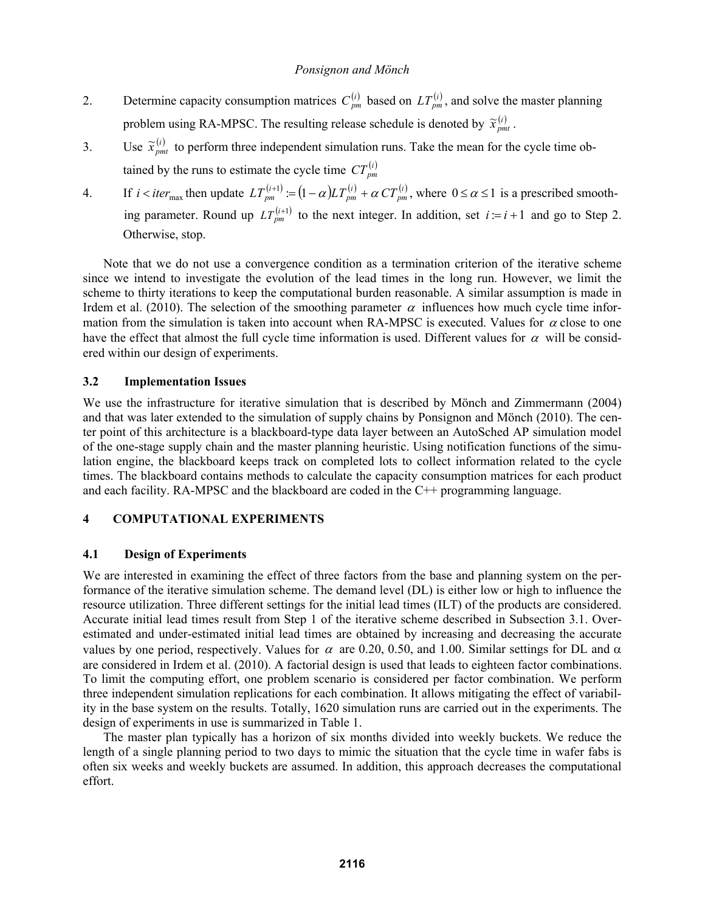- 2. Determine capacity consumption matrices  $C_{pm}^{(i)}$  based on  $LT_{pm}^{(i)}$ , and solve the master planning problem using RA-MPSC. The resulting release schedule is denoted by  $\tilde{x}_{pm}^{(i)}$ .
- 3. Use  $\tilde{x}_{pm}^{(i)}$  to perform three independent simulation runs. Take the mean for the cycle time obtained by the runs to estimate the cycle time  $CT_{pm}^{(i)}$
- 4. If  $i <$ *iter*<sub>max</sub> then update  $LT_{pm}^{(i+1)} := (1 \alpha)LT_{pm}^{(i)} + \alpha CT_{pm}^{(i)}$ , where  $0 \le \alpha \le 1$  is a prescribed smoothing parameter. Round up  $LT_{pm}^{(i+1)}$  to the next integer. In addition, set  $i = i + 1$  and go to Step 2. Otherwise, stop.

Note that we do not use a convergence condition as a termination criterion of the iterative scheme since we intend to investigate the evolution of the lead times in the long run. However, we limit the scheme to thirty iterations to keep the computational burden reasonable. A similar assumption is made in Irdem et al. (2010). The selection of the smoothing parameter  $\alpha$  influences how much cycle time information from the simulation is taken into account when RA-MPSC is executed. Values for  $\alpha$  close to one have the effect that almost the full cycle time information is used. Different values for  $\alpha$  will be considered within our design of experiments.

## **3.2 Implementation Issues**

We use the infrastructure for iterative simulation that is described by Mönch and Zimmermann (2004) and that was later extended to the simulation of supply chains by Ponsignon and Mönch (2010). The center point of this architecture is a blackboard-type data layer between an AutoSched AP simulation model of the one-stage supply chain and the master planning heuristic. Using notification functions of the simulation engine, the blackboard keeps track on completed lots to collect information related to the cycle times. The blackboard contains methods to calculate the capacity consumption matrices for each product and each facility. RA-MPSC and the blackboard are coded in the C++ programming language.

# **4 COMPUTATIONAL EXPERIMENTS**

# **4.1 Design of Experiments**

We are interested in examining the effect of three factors from the base and planning system on the performance of the iterative simulation scheme. The demand level (DL) is either low or high to influence the resource utilization. Three different settings for the initial lead times (ILT) of the products are considered. Accurate initial lead times result from Step 1 of the iterative scheme described in Subsection 3.1. Overestimated and under-estimated initial lead times are obtained by increasing and decreasing the accurate values by one period, respectively. Values for  $\alpha$  are 0.20, 0.50, and 1.00. Similar settings for DL and  $\alpha$ are considered in Irdem et al. (2010). A factorial design is used that leads to eighteen factor combinations. To limit the computing effort, one problem scenario is considered per factor combination. We perform three independent simulation replications for each combination. It allows mitigating the effect of variability in the base system on the results. Totally, 1620 simulation runs are carried out in the experiments. The design of experiments in use is summarized in Table 1.

The master plan typically has a horizon of six months divided into weekly buckets. We reduce the length of a single planning period to two days to mimic the situation that the cycle time in wafer fabs is often six weeks and weekly buckets are assumed. In addition, this approach decreases the computational effort.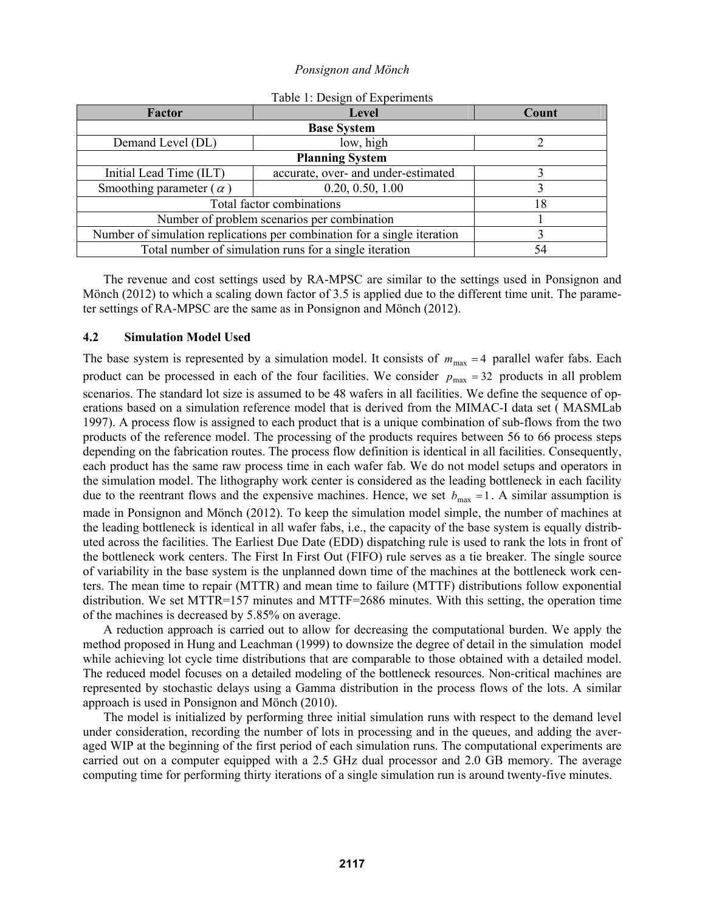| Factor                                                                   | Level                               | Count |
|--------------------------------------------------------------------------|-------------------------------------|-------|
| <b>Base System</b>                                                       |                                     |       |
| Demand Level (DL)                                                        | low, high                           |       |
| <b>Planning System</b>                                                   |                                     |       |
| Initial Lead Time (ILT)                                                  | accurate, over- and under-estimated |       |
| Smoothing parameter ( $\alpha$ )                                         | 0.20, 0.50, 1.00                    |       |
| Total factor combinations                                                |                                     | 18    |
| Number of problem scenarios per combination                              |                                     |       |
| Number of simulation replications per combination for a single iteration |                                     |       |
| Total number of simulation runs for a single iteration                   |                                     | 54    |

#### Table 1: Design of Experiments

The revenue and cost settings used by RA-MPSC are similar to the settings used in Ponsignon and Mönch (2012) to which a scaling down factor of 3.5 is applied due to the different time unit. The parameter settings of RA-MPSC are the same as in Ponsignon and Mönch (2012).

## **4.2 Simulation Model Used**

The base system is represented by a simulation model. It consists of  $m_{\text{max}} = 4$  parallel wafer fabs. Each product can be processed in each of the four facilities. We consider  $p_{\text{max}} = 32$  products in all problem scenarios. The standard lot size is assumed to be 48 wafers in all facilities. We define the sequence of operations based on a simulation reference model that is derived from the MIMAC-I data set ( MASMLab 1997). A process flow is assigned to each product that is a unique combination of sub-flows from the two products of the reference model. The processing of the products requires between 56 to 66 process steps depending on the fabrication routes. The process flow definition is identical in all facilities. Consequently, each product has the same raw process time in each wafer fab. We do not model setups and operators in the simulation model. The lithography work center is considered as the leading bottleneck in each facility due to the reentrant flows and the expensive machines. Hence, we set  $b_{\text{max}} = 1$ . A similar assumption is made in Ponsignon and Mönch (2012). To keep the simulation model simple, the number of machines at the leading bottleneck is identical in all wafer fabs, i.e., the capacity of the base system is equally distributed across the facilities. The Earliest Due Date (EDD) dispatching rule is used to rank the lots in front of the bottleneck work centers. The First In First Out (FIFO) rule serves as a tie breaker. The single source of variability in the base system is the unplanned down time of the machines at the bottleneck work centers. The mean time to repair (MTTR) and mean time to failure (MTTF) distributions follow exponential distribution. We set MTTR=157 minutes and MTTF=2686 minutes. With this setting, the operation time of the machines is decreased by 5.85% on average.

A reduction approach is carried out to allow for decreasing the computational burden. We apply the method proposed in Hung and Leachman (1999) to downsize the degree of detail in the simulation model while achieving lot cycle time distributions that are comparable to those obtained with a detailed model. The reduced model focuses on a detailed modeling of the bottleneck resources. Non-critical machines are represented by stochastic delays using a Gamma distribution in the process flows of the lots. A similar approach is used in Ponsignon and Mönch (2010).

The model is initialized by performing three initial simulation runs with respect to the demand level under consideration, recording the number of lots in processing and in the queues, and adding the averaged WIP at the beginning of the first period of each simulation runs. The computational experiments are carried out on a computer equipped with a 2.5 GHz dual processor and 2.0 GB memory. The average computing time for performing thirty iterations of a single simulation run is around twenty-five minutes.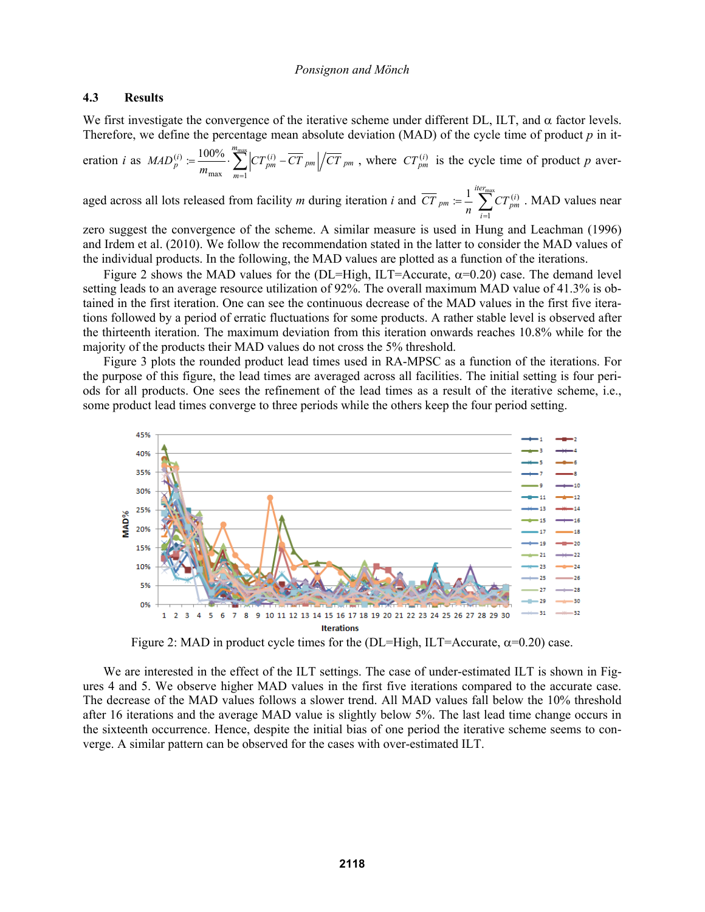### **4.3 Results**

We first investigate the convergence of the iterative scheme under different DL, ILT, and  $\alpha$  factor levels. Therefore, we define the percentage mean absolute deviation (MAD) of the cycle time of product *p* in it-

eration *i* as  $MAD_p^{(i)} := \frac{100\%}{m_{\text{max}}} \cdot \sum_{m=1}^{m_{\text{max}}} C T_{pm}^{(i)}$ 1  $(i)$ max  $\binom{n}{n} := \frac{100\%}{n}$ *m m*  $MAD_p^{(i)} := \frac{100\%}{m_{\text{max}}} \cdot \sum_{m=1}^{\infty} \left| CT_{pm}^{(i)} - \overline{CT}_{pm} \right| / \overline{CT}_{pm}$ , where  $CT_{pm}^{(i)}$  is the cycle time of product *p* aver-

aged across all lots released from facility *m* during iteration *i* and  $\overline{CT}_{pm} := \frac{1}{n} \sum_{i=1}^{n \text{ terms}}$ 1  $:=\frac{1}{\sigma}\sum_{i}^{iter_{\text{max}}}CT_{i}^{(i)}$ *i*  $\overline{CT}_{pm} := \frac{1}{n} \sum_{i=1}^{n} CT_{pm}^{(i)}$ . MAD values near

zero suggest the convergence of the scheme. A similar measure is used in Hung and Leachman (1996) and Irdem et al. (2010). We follow the recommendation stated in the latter to consider the MAD values of the individual products. In the following, the MAD values are plotted as a function of the iterations.

Figure 2 shows the MAD values for the (DL=High, ILT=Accurate,  $\alpha$ =0.20) case. The demand level setting leads to an average resource utilization of 92%. The overall maximum MAD value of 41.3% is obtained in the first iteration. One can see the continuous decrease of the MAD values in the first five iterations followed by a period of erratic fluctuations for some products. A rather stable level is observed after the thirteenth iteration. The maximum deviation from this iteration onwards reaches 10.8% while for the majority of the products their MAD values do not cross the 5% threshold.

Figure 3 plots the rounded product lead times used in RA-MPSC as a function of the iterations. For the purpose of this figure, the lead times are averaged across all facilities. The initial setting is four periods for all products. One sees the refinement of the lead times as a result of the iterative scheme, i.e., some product lead times converge to three periods while the others keep the four period setting.



Figure 2: MAD in product cycle times for the (DL=High, ILT=Accurate,  $\alpha$ =0.20) case.

We are interested in the effect of the ILT settings. The case of under-estimated ILT is shown in Figures 4 and 5. We observe higher MAD values in the first five iterations compared to the accurate case. The decrease of the MAD values follows a slower trend. All MAD values fall below the 10% threshold after 16 iterations and the average MAD value is slightly below 5%. The last lead time change occurs in the sixteenth occurrence. Hence, despite the initial bias of one period the iterative scheme seems to converge. A similar pattern can be observed for the cases with over-estimated ILT.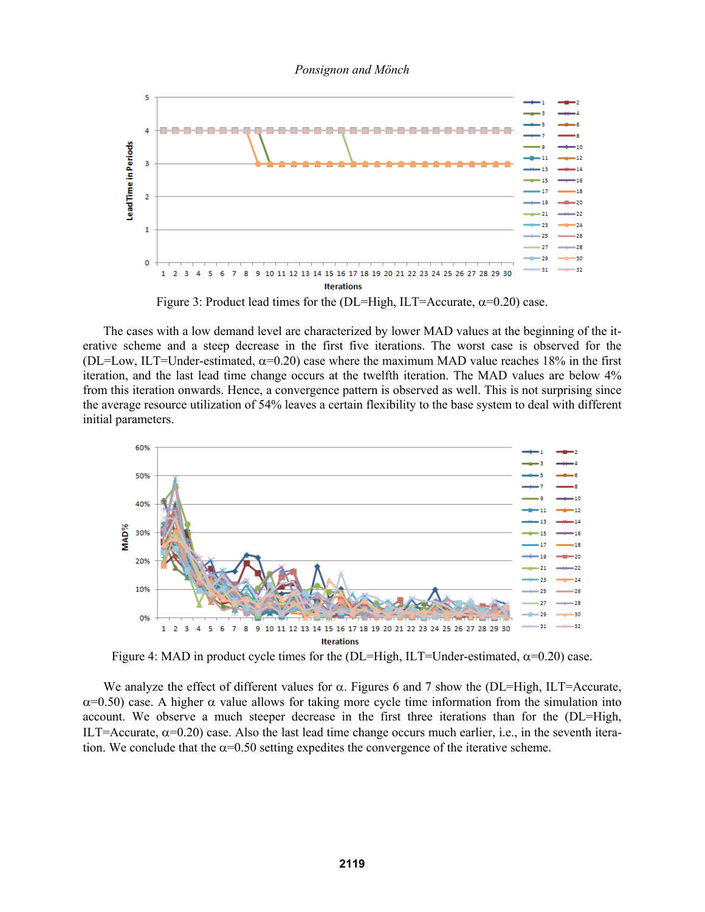*Ponsignon and Mönch* 



Figure 3: Product lead times for the (DL=High, ILT=Accurate,  $\alpha$ =0.20) case.

The cases with a low demand level are characterized by lower MAD values at the beginning of the iterative scheme and a steep decrease in the first five iterations. The worst case is observed for the (DL=Low, ILT=Under-estimated,  $\alpha$ =0.20) case where the maximum MAD value reaches 18% in the first iteration, and the last lead time change occurs at the twelfth iteration. The MAD values are below 4% from this iteration onwards. Hence, a convergence pattern is observed as well. This is not surprising since the average resource utilization of 54% leaves a certain flexibility to the base system to deal with different initial parameters.



Figure 4: MAD in product cycle times for the (DL=High, ILT=Under-estimated,  $\alpha$ =0.20) case.

We analyze the effect of different values for  $\alpha$ . Figures 6 and 7 show the (DL=High, ILT=Accurate,  $\alpha$ =0.50) case. A higher  $\alpha$  value allows for taking more cycle time information from the simulation into account. We observe a much steeper decrease in the first three iterations than for the (DL=High, ILT=Accurate,  $\alpha$ =0.20) case. Also the last lead time change occurs much earlier, i.e., in the seventh iteration. We conclude that the  $\alpha$ =0.50 setting expedites the convergence of the iterative scheme.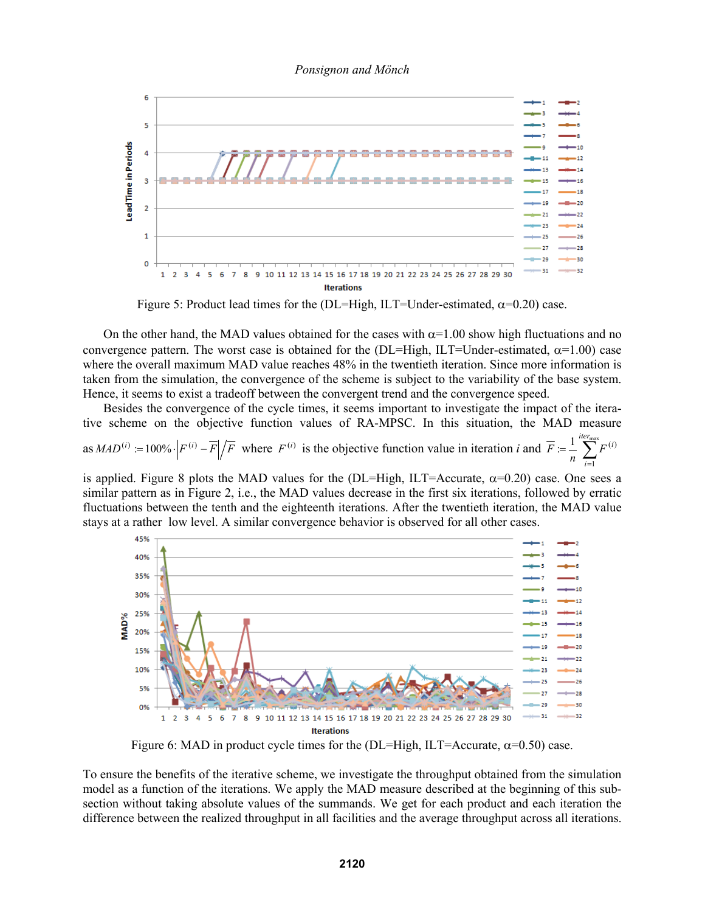

Figure 5: Product lead times for the (DL=High, ILT=Under-estimated,  $\alpha$ =0.20) case.

On the other hand, the MAD values obtained for the cases with  $\alpha$ =1.00 show high fluctuations and no convergence pattern. The worst case is obtained for the (DL=High, ILT=Under-estimated,  $\alpha$ =1.00) case where the overall maximum MAD value reaches 48% in the twentieth iteration. Since more information is taken from the simulation, the convergence of the scheme is subject to the variability of the base system. Hence, it seems to exist a tradeoff between the convergent trend and the convergence speed.

Besides the convergence of the cycle times, it seems important to investigate the impact of the iterative scheme on the objective function values of RA-MPSC. In this situation, the MAD measure as  $MAD^{(i)} = 100\% \cdot \left| F^{(i)} - \overline{F} \right| / \overline{F}$  where  $F^{(i)}$  is the objective function value in iteration *i* and  $\overline{F} = \frac{1}{n} \sum_{i=1}^{n \text{ terms}}$ 1  $:=\frac{1}{\sigma}\sum_{i}^{iter_{\text{max}}}F^{(i)}$ *i*  $\overline{F}$  =  $\frac{1}{n}$   $\sum_{i=1}^{n}$   $F^{(i)}$ 

is applied. Figure 8 plots the MAD values for the (DL=High, ILT=Accurate,  $\alpha$ =0.20) case. One sees a similar pattern as in Figure 2, i.e., the MAD values decrease in the first six iterations, followed by erratic fluctuations between the tenth and the eighteenth iterations. After the twentieth iteration, the MAD value stays at a rather low level. A similar convergence behavior is observed for all other cases.



Figure 6: MAD in product cycle times for the (DL=High, ILT=Accurate,  $\alpha$ =0.50) case.

To ensure the benefits of the iterative scheme, we investigate the throughput obtained from the simulation model as a function of the iterations. We apply the MAD measure described at the beginning of this subsection without taking absolute values of the summands. We get for each product and each iteration the difference between the realized throughput in all facilities and the average throughput across all iterations.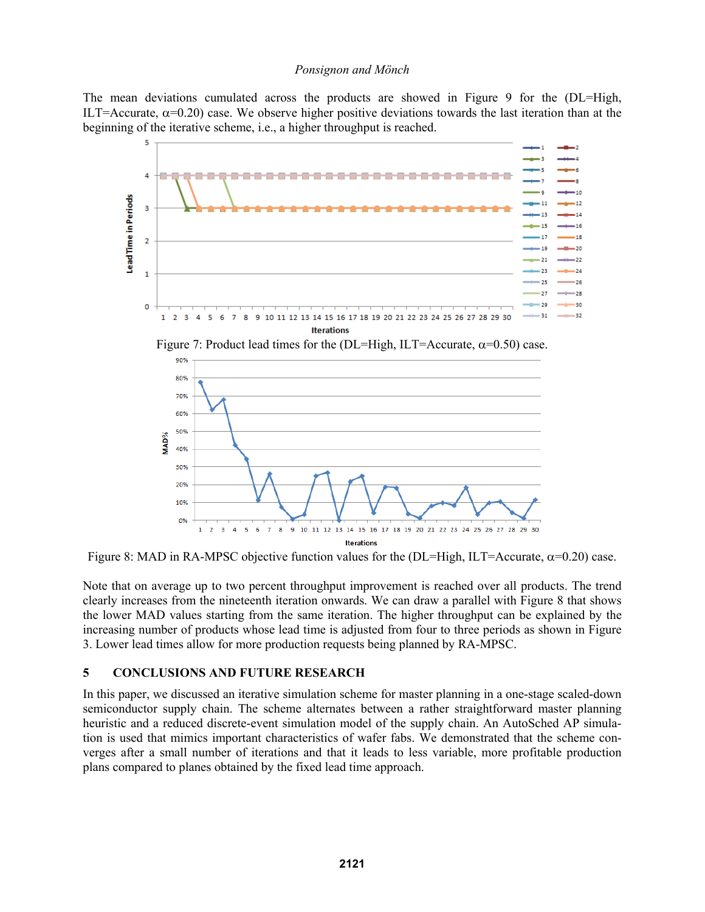The mean deviations cumulated across the products are showed in Figure 9 for the (DL=High, ILT=Accurate,  $\alpha$ =0.20) case. We observe higher positive deviations towards the last iteration than at the beginning of the iterative scheme, i.e., a higher throughput is reached.





Figure 8: MAD in RA-MPSC objective function values for the (DL=High, ILT=Accurate,  $\alpha$ =0.20) case.

Note that on average up to two percent throughput improvement is reached over all products. The trend clearly increases from the nineteenth iteration onwards. We can draw a parallel with Figure 8 that shows the lower MAD values starting from the same iteration. The higher throughput can be explained by the increasing number of products whose lead time is adjusted from four to three periods as shown in Figure 3. Lower lead times allow for more production requests being planned by RA-MPSC.

# **5 CONCLUSIONS AND FUTURE RESEARCH**

In this paper, we discussed an iterative simulation scheme for master planning in a one-stage scaled-down semiconductor supply chain. The scheme alternates between a rather straightforward master planning heuristic and a reduced discrete-event simulation model of the supply chain. An AutoSched AP simulation is used that mimics important characteristics of wafer fabs. We demonstrated that the scheme converges after a small number of iterations and that it leads to less variable, more profitable production plans compared to planes obtained by the fixed lead time approach.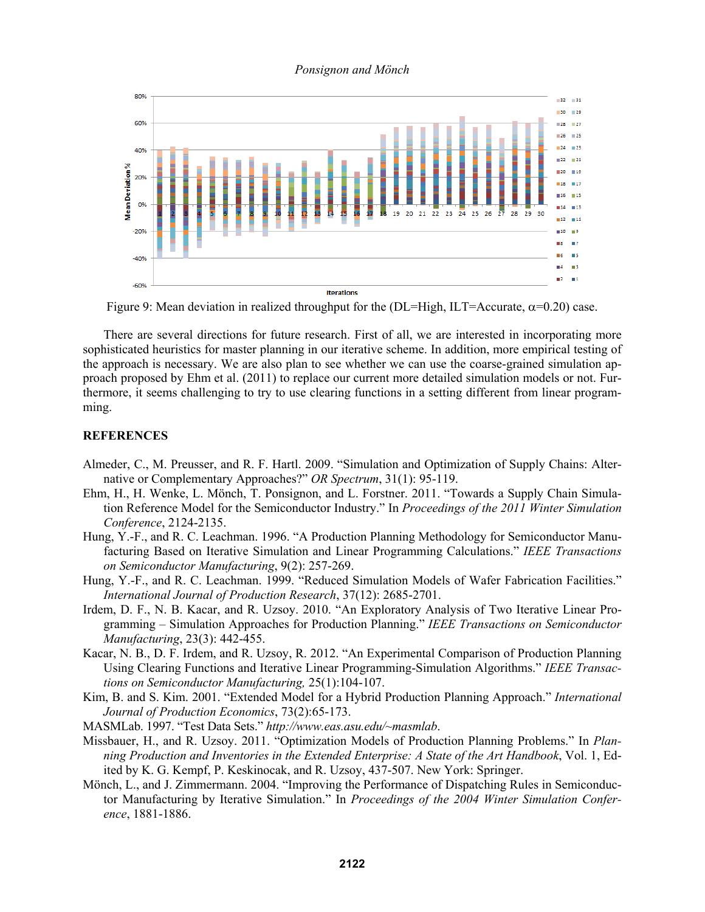

Figure 9: Mean deviation in realized throughput for the (DL=High, ILT=Accurate,  $\alpha$ =0.20) case.

There are several directions for future research. First of all, we are interested in incorporating more sophisticated heuristics for master planning in our iterative scheme. In addition, more empirical testing of the approach is necessary. We are also plan to see whether we can use the coarse-grained simulation approach proposed by Ehm et al. (2011) to replace our current more detailed simulation models or not. Furthermore, it seems challenging to try to use clearing functions in a setting different from linear programming.

## **REFERENCES**

- Almeder, C., M. Preusser, and R. F. Hartl. 2009. "Simulation and Optimization of Supply Chains: Alternative or Complementary Approaches?" *OR Spectrum*, 31(1): 95-119.
- Ehm, H., H. Wenke, L. Mönch, T. Ponsignon, and L. Forstner. 2011. "Towards a Supply Chain Simulation Reference Model for the Semiconductor Industry." In *Proceedings of the 2011 Winter Simulation Conference*, 2124-2135.
- Hung, Y.-F., and R. C. Leachman. 1996. "A Production Planning Methodology for Semiconductor Manufacturing Based on Iterative Simulation and Linear Programming Calculations." *IEEE Transactions on Semiconductor Manufacturing*, 9(2): 257-269.
- Hung, Y.-F., and R. C. Leachman. 1999. "Reduced Simulation Models of Wafer Fabrication Facilities." *International Journal of Production Research*, 37(12): 2685-2701.
- Irdem, D. F., N. B. Kacar, and R. Uzsoy. 2010. "An Exploratory Analysis of Two Iterative Linear Programming – Simulation Approaches for Production Planning." *IEEE Transactions on Semiconductor Manufacturing*, 23(3): 442-455.
- Kacar, N. B., D. F. Irdem, and R. Uzsoy, R. 2012. "An Experimental Comparison of Production Planning Using Clearing Functions and Iterative Linear Programming-Simulation Algorithms." *IEEE Transactions on Semiconductor Manufacturing,* 25(1):104-107.
- Kim, B. and S. Kim. 2001. "Extended Model for a Hybrid Production Planning Approach." *International Journal of Production Economics*, 73(2):65-173.
- MASMLab. 1997. "Test Data Sets." *http://www.eas.asu.edu/~masmlab*.
- Missbauer, H., and R. Uzsoy. 2011. "Optimization Models of Production Planning Problems." In *Planning Production and Inventories in the Extended Enterprise: A State of the Art Handbook*, Vol. 1, Edited by K. G. Kempf, P. Keskinocak, and R. Uzsoy, 437-507. New York: Springer.
- Mönch, L., and J. Zimmermann. 2004. "Improving the Performance of Dispatching Rules in Semiconductor Manufacturing by Iterative Simulation." In *Proceedings of the 2004 Winter Simulation Conference*, 1881-1886.